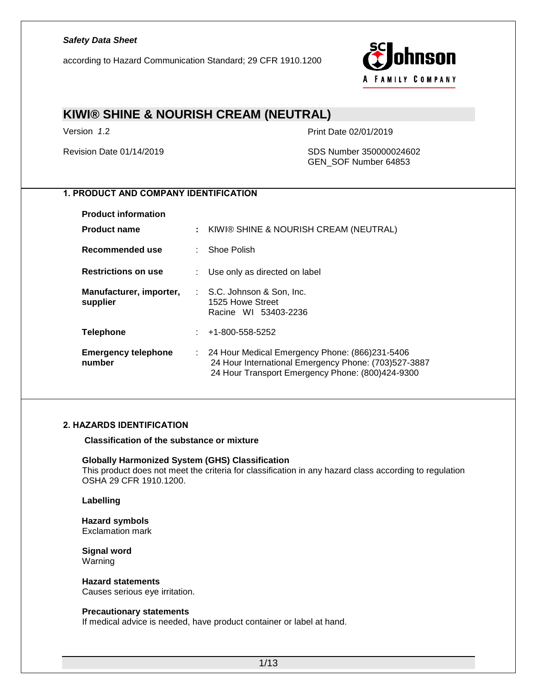according to Hazard Communication Standard; 29 CFR 1910.1200



# **KIWI® SHINE & NOURISH CREAM (NEUTRAL)**

Version *1*.2 Print Date 02/01/2019

Revision Date 01/14/2019 SDS Number 350000024602 GEN\_SOF Number 64853

## **1. PRODUCT AND COMPANY IDENTIFICATION**

| <b>Product information</b>           |                                                                                                                                                              |
|--------------------------------------|--------------------------------------------------------------------------------------------------------------------------------------------------------------|
| <b>Product name</b>                  | : KIWI® SHINE & NOURISH CREAM (NEUTRAL)                                                                                                                      |
| Recommended use                      | : Shoe Polish                                                                                                                                                |
| <b>Restrictions on use</b>           | Use only as directed on label                                                                                                                                |
| Manufacturer, importer,<br>supplier  | : S.C. Johnson & Son, Inc.<br>1525 Howe Street<br>Racine WI 53403-2236                                                                                       |
| <b>Telephone</b>                     | $: 41-800-558-5252$                                                                                                                                          |
| <b>Emergency telephone</b><br>number | : 24 Hour Medical Emergency Phone: (866)231-5406<br>24 Hour International Emergency Phone: (703)527-3887<br>24 Hour Transport Emergency Phone: (800)424-9300 |

#### **2. HAZARDS IDENTIFICATION**

**Classification of the substance or mixture**

#### **Globally Harmonized System (GHS) Classification**

This product does not meet the criteria for classification in any hazard class according to regulation OSHA 29 CFR 1910.1200.

#### **Labelling**

## **Hazard symbols**

Exclamation mark

**Signal word** Warning

#### **Hazard statements**

Causes serious eye irritation.

#### **Precautionary statements**

If medical advice is needed, have product container or label at hand.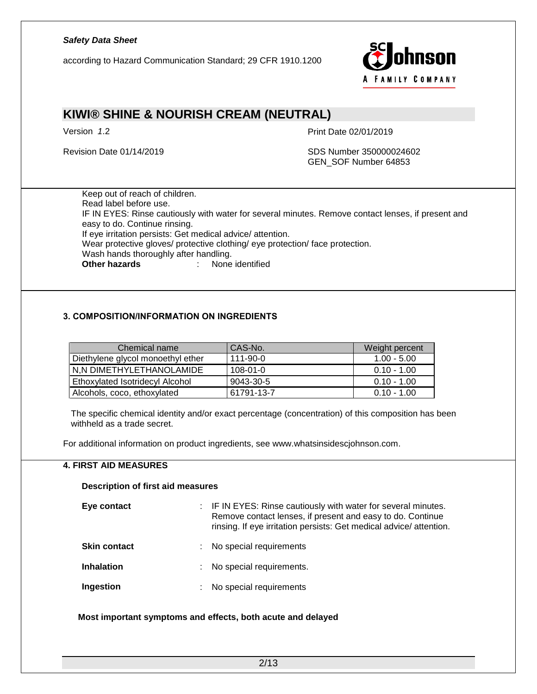according to Hazard Communication Standard; 29 CFR 1910.1200



# **KIWI® SHINE & NOURISH CREAM (NEUTRAL)**

Version 1.2 **Print Date 02/01/2019** 

Revision Date 01/14/2019 SDS Number 350000024602 GEN\_SOF Number 64853

Keep out of reach of children. Read label before use. IF IN EYES: Rinse cautiously with water for several minutes. Remove contact lenses, if present and easy to do. Continue rinsing. If eye irritation persists: Get medical advice/ attention. Wear protective gloves/ protective clothing/ eye protection/ face protection. Wash hands thoroughly after handling. **Other hazards** : None identified

### **3. COMPOSITION/INFORMATION ON INGREDIENTS**

| Chemical name                     | CAS-No.        | Weight percent |
|-----------------------------------|----------------|----------------|
| Diethylene glycol monoethyl ether | $111 - 90 - 0$ | $1.00 - 5.00$  |
| N,N DIMETHYLETHANOLAMIDE          | $108 - 01 - 0$ | $0.10 - 1.00$  |
| Ethoxylated Isotridecyl Alcohol   | 9043-30-5      | $0.10 - 1.00$  |
| Alcohols, coco, ethoxylated       | 61791-13-7     | $0.10 - 1.00$  |

The specific chemical identity and/or exact percentage (concentration) of this composition has been withheld as a trade secret.

For additional information on product ingredients, see www.whatsinsidescjohnson.com.

### **4. FIRST AID MEASURES**

#### **Description of first aid measures**

| Eye contact         |    | : IF IN EYES: Rinse cautiously with water for several minutes.<br>Remove contact lenses, if present and easy to do. Continue<br>rinsing. If eye irritation persists: Get medical advice/attention. |
|---------------------|----|----------------------------------------------------------------------------------------------------------------------------------------------------------------------------------------------------|
| <b>Skin contact</b> | ÷. | No special requirements                                                                                                                                                                            |
| <b>Inhalation</b>   | ÷  | No special requirements.                                                                                                                                                                           |
| Ingestion           | ÷  | No special requirements                                                                                                                                                                            |

**Most important symptoms and effects, both acute and delayed**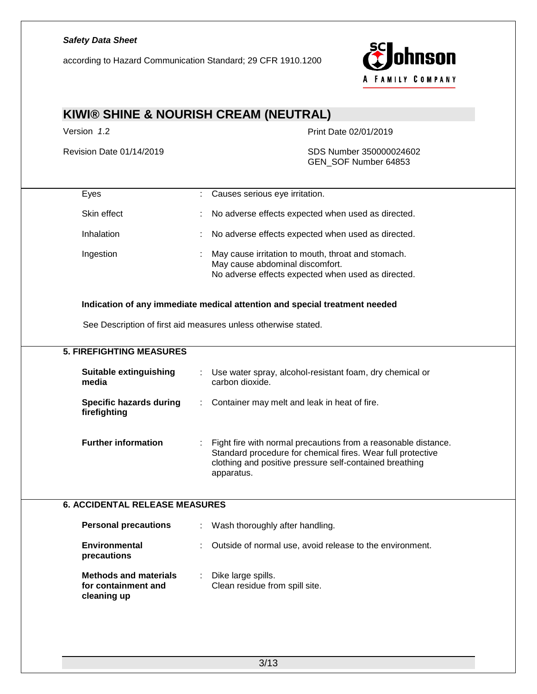according to Hazard Communication Standard; 29 CFR 1910.1200



# **KIWI® SHINE & NOURISH CREAM (NEUTRAL)**

Version *1*.2 Print Date 02/01/2019

Revision Date 01/14/2019 SDS Number 350000024602 GEN\_SOF Number 64853

| Eyes                                                               | Causes serious eye irritation.                                                                                                                                                                         |
|--------------------------------------------------------------------|--------------------------------------------------------------------------------------------------------------------------------------------------------------------------------------------------------|
| Skin effect                                                        | No adverse effects expected when used as directed.                                                                                                                                                     |
| Inhalation                                                         | No adverse effects expected when used as directed.                                                                                                                                                     |
| Ingestion                                                          | May cause irritation to mouth, throat and stomach.<br>May cause abdominal discomfort.<br>No adverse effects expected when used as directed.                                                            |
|                                                                    | Indication of any immediate medical attention and special treatment needed                                                                                                                             |
|                                                                    | See Description of first aid measures unless otherwise stated.                                                                                                                                         |
| <b>5. FIREFIGHTING MEASURES</b>                                    |                                                                                                                                                                                                        |
| <b>Suitable extinguishing</b><br>media                             | Use water spray, alcohol-resistant foam, dry chemical or<br>carbon dioxide.                                                                                                                            |
| <b>Specific hazards during</b><br>firefighting                     | Container may melt and leak in heat of fire.                                                                                                                                                           |
| <b>Further information</b>                                         | Fight fire with normal precautions from a reasonable distance.<br>Standard procedure for chemical fires. Wear full protective<br>clothing and positive pressure self-contained breathing<br>apparatus. |
| <b>6. ACCIDENTAL RELEASE MEASURES</b>                              |                                                                                                                                                                                                        |
| <b>Personal precautions</b>                                        | Wash thoroughly after handling.                                                                                                                                                                        |
| <b>Environmental</b><br>precautions                                | Outside of normal use, avoid release to the environment.                                                                                                                                               |
| <b>Methods and materials</b><br>for containment and<br>cleaning up | Dike large spills.<br>Clean residue from spill site.                                                                                                                                                   |
|                                                                    |                                                                                                                                                                                                        |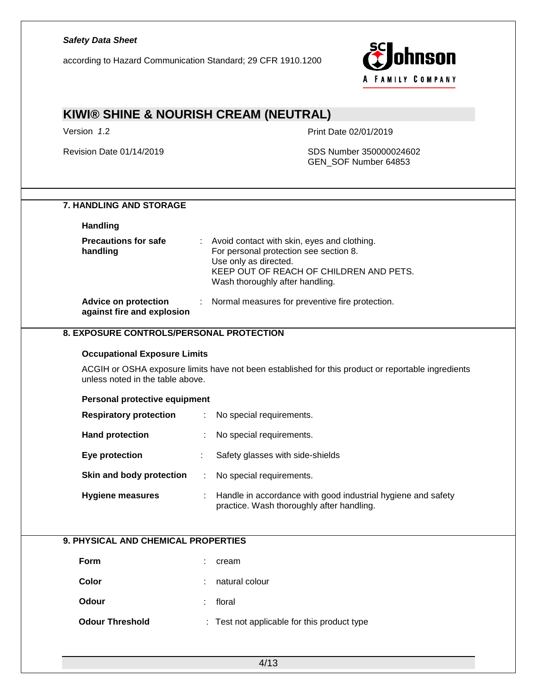| <b>Safety Data Sheet</b><br>according to Hazard Communication Standard; 29 CFR 1910.1200 | nson<br>A FAMILY COMPANY                                                                                                                                                                     |
|------------------------------------------------------------------------------------------|----------------------------------------------------------------------------------------------------------------------------------------------------------------------------------------------|
|                                                                                          | KIWI® SHINE & NOURISH CREAM (NEUTRAL)                                                                                                                                                        |
| Version 1.2                                                                              | Print Date 02/01/2019                                                                                                                                                                        |
| Revision Date 01/14/2019                                                                 | SDS Number 350000024602<br>GEN_SOF Number 64853                                                                                                                                              |
| <b>7. HANDLING AND STORAGE</b><br><b>Handling</b>                                        |                                                                                                                                                                                              |
| <b>Precautions for safe</b><br>handling                                                  | Avoid contact with skin, eyes and clothing.<br>For personal protection see section 8.<br>Use only as directed.<br>KEEP OUT OF REACH OF CHILDREN AND PETS.<br>Wash thoroughly after handling. |
| <b>Advice on protection</b><br>against fire and explosion                                | Normal measures for preventive fire protection.<br>÷                                                                                                                                         |
| <b>Occupational Exposure Limits</b><br>unless noted in the table above.                  | ACGIH or OSHA exposure limits have not been established for this product or reportable ingredients                                                                                           |
| Personal protective equipment<br><b>Respiratory protection</b>                           | No special requirements.                                                                                                                                                                     |
| <b>Hand protection</b>                                                                   | No special requirements.                                                                                                                                                                     |
| <b>Eye protection</b>                                                                    | Safety glasses with side-shields                                                                                                                                                             |
| Skin and body protection                                                                 | No special requirements.<br>÷                                                                                                                                                                |
| <b>Hygiene measures</b>                                                                  | Handle in accordance with good industrial hygiene and safety<br>practice. Wash thoroughly after handling.                                                                                    |
| 9. PHYSICAL AND CHEMICAL PROPERTIES                                                      |                                                                                                                                                                                              |
| Form                                                                                     | cream                                                                                                                                                                                        |
| Color                                                                                    | natural colour                                                                                                                                                                               |
| Odour                                                                                    | floral                                                                                                                                                                                       |
| <b>Odour Threshold</b>                                                                   | Test not applicable for this product type                                                                                                                                                    |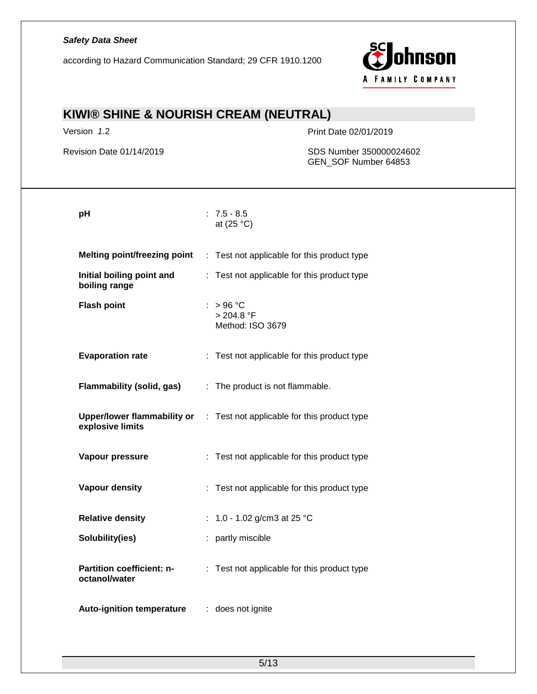according to Hazard Communication Standard; 29 CFR 1910.1200



# **KIWI® SHINE & NOURISH CREAM (NEUTRAL)**

Version *1*.2 Print Date 02/01/2019

Revision Date 01/14/2019 SDS Number 350000024602 GEN\_SOF Number 64853

| pH                                         | $: 7.5 - 8.5$<br>at $(25 °C)$                                                  |
|--------------------------------------------|--------------------------------------------------------------------------------|
| <b>Melting point/freezing point</b>        | : Test not applicable for this product type                                    |
| Initial boiling point and<br>boiling range | : Test not applicable for this product type                                    |
| <b>Flash point</b>                         | $:$ > 96 °C<br>> 204.8 °F<br>Method: ISO 3679                                  |
| <b>Evaporation rate</b>                    | : Test not applicable for this product type                                    |
| Flammability (solid, gas)                  | : The product is not flammable.                                                |
| explosive limits                           | <b>Upper/lower flammability or</b> : Test not applicable for this product type |
| Vapour pressure                            | : Test not applicable for this product type                                    |
| Vapour density                             | : Test not applicable for this product type                                    |
| <b>Relative density</b>                    | : 1.0 - 1.02 g/cm3 at 25 °C                                                    |
| Solubility(ies)                            | : partly miscible                                                              |
| Partition coefficient: n-<br>octanol/water | : Test not applicable for this product type                                    |
| <b>Auto-ignition temperature</b>           | : does not ignite                                                              |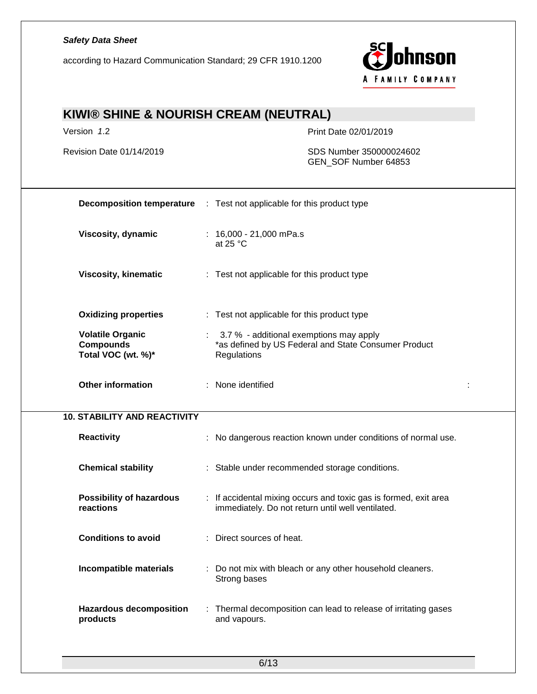according to Hazard Communication Standard; 29 CFR 1910.1200



# **KIWI® SHINE & NOURISH CREAM (NEUTRAL)**

Version *1*.2 Print Date 02/01/2019

Revision Date 01/14/2019 SDS Number 350000024602 GEN\_SOF Number 64853

|                                                                   | <b>Decomposition temperature</b> : Test not applicable for this product type                                          |  |
|-------------------------------------------------------------------|-----------------------------------------------------------------------------------------------------------------------|--|
| Viscosity, dynamic                                                | : $16,000 - 21,000$ mPa.s<br>at 25 $°C$                                                                               |  |
| <b>Viscosity, kinematic</b>                                       | : Test not applicable for this product type                                                                           |  |
| <b>Oxidizing properties</b>                                       | : Test not applicable for this product type                                                                           |  |
| <b>Volatile Organic</b><br><b>Compounds</b><br>Total VOC (wt. %)* | : 3.7 % - additional exemptions may apply<br>*as defined by US Federal and State Consumer Product<br>Regulations      |  |
| <b>Other information</b>                                          | : None identified                                                                                                     |  |
| <b>10. STABILITY AND REACTIVITY</b>                               |                                                                                                                       |  |
| Reactivity                                                        | : No dangerous reaction known under conditions of normal use.                                                         |  |
| <b>Chemical stability</b>                                         | : Stable under recommended storage conditions.                                                                        |  |
| <b>Possibility of hazardous</b><br>reactions                      | : If accidental mixing occurs and toxic gas is formed, exit area<br>immediately. Do not return until well ventilated. |  |
| <b>Conditions to avoid</b>                                        | : Direct sources of heat.                                                                                             |  |
| Incompatible materials                                            | : Do not mix with bleach or any other household cleaners.<br>Strong bases                                             |  |
| <b>Hazardous decomposition</b><br>products                        | : Thermal decomposition can lead to release of irritating gases<br>and vapours.                                       |  |
|                                                                   |                                                                                                                       |  |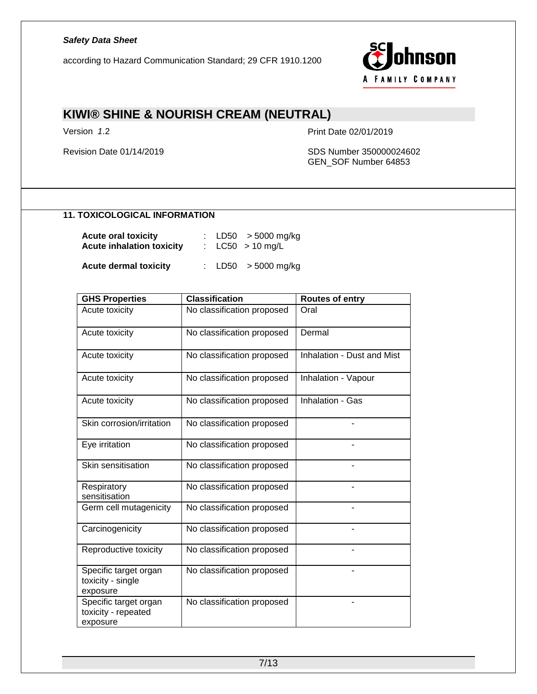according to Hazard Communication Standard; 29 CFR 1910.1200



# **KIWI® SHINE & NOURISH CREAM (NEUTRAL)**

Version *1*.2 Print Date 02/01/2019

Revision Date 01/14/2019 SDS Number 350000024602 GEN\_SOF Number 64853

### **11. TOXICOLOGICAL INFORMATION**

| <b>Acute oral toxicity</b>       |  | : LD50 $>$ 5000 mg/kg |
|----------------------------------|--|-----------------------|
| <b>Acute inhalation toxicity</b> |  | : $LC50 > 10$ mg/L    |

**Acute dermal toxicity** : LD50 > 5000 mg/kg

| <b>GHS Properties</b>                                    | <b>Classification</b>      | <b>Routes of entry</b>            |
|----------------------------------------------------------|----------------------------|-----------------------------------|
| Acute toxicity                                           | No classification proposed | Oral                              |
| Acute toxicity                                           | No classification proposed | Dermal                            |
| Acute toxicity                                           | No classification proposed | <b>Inhalation - Dust and Mist</b> |
| Acute toxicity                                           | No classification proposed | Inhalation - Vapour               |
| Acute toxicity                                           | No classification proposed | Inhalation - Gas                  |
| Skin corrosion/irritation                                | No classification proposed |                                   |
| Eye irritation                                           | No classification proposed |                                   |
| Skin sensitisation                                       | No classification proposed |                                   |
| Respiratory<br>sensitisation                             | No classification proposed |                                   |
| Germ cell mutagenicity                                   | No classification proposed |                                   |
| Carcinogenicity                                          | No classification proposed |                                   |
| Reproductive toxicity                                    | No classification proposed |                                   |
| Specific target organ<br>toxicity - single<br>exposure   | No classification proposed |                                   |
| Specific target organ<br>toxicity - repeated<br>exposure | No classification proposed |                                   |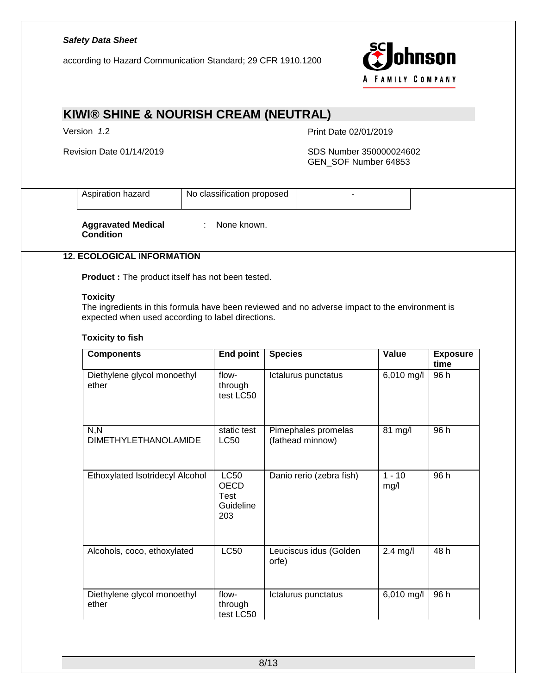according to Hazard Communication Standard; 29 CFR 1910.1200



# **KIWI® SHINE & NOURISH CREAM (NEUTRAL)**

Version *1*.2 Print Date 02/01/2019

### Revision Date 01/14/2019 SDS Number 350000024602 GEN\_SOF Number 64853

| $  -$<br>7arr | Nο<br>clas.<br>nposed.<br>sınc |  |
|---------------|--------------------------------|--|
|               |                                |  |

**Aggravated Medical Condition**

: None known.

## **12. ECOLOGICAL INFORMATION**

**Product :** The product itself has not been tested.

### **Toxicity**

The ingredients in this formula have been reviewed and no adverse impact to the environment is expected when used according to label directions.

### **Toxicity to fish**

| <b>Components</b>                    | <b>End point</b>                                       | <b>Species</b>                          | Value            | <b>Exposure</b><br>time |
|--------------------------------------|--------------------------------------------------------|-----------------------------------------|------------------|-------------------------|
| Diethylene glycol monoethyl<br>ether | flow-<br>through<br>test LC50                          | Ictalurus punctatus                     | 6,010 mg/l       | 96 h                    |
| N, N<br><b>DIMETHYLETHANOLAMIDE</b>  | static test<br><b>LC50</b>                             | Pimephales promelas<br>(fathead minnow) | 81 mg/l          | 96 h                    |
| Ethoxylated Isotridecyl Alcohol      | <b>LC50</b><br><b>OECD</b><br>Test<br>Guideline<br>203 | Danio rerio (zebra fish)                | $1 - 10$<br>mg/l | 96 h                    |
| Alcohols, coco, ethoxylated          | <b>LC50</b>                                            | Leuciscus idus (Golden<br>orfe)         | $2.4$ mg/l       | 48 h                    |
| Diethylene glycol monoethyl<br>ether | flow-<br>through<br>test LC50                          | Ictalurus punctatus                     | 6,010 mg/l       | 96 h                    |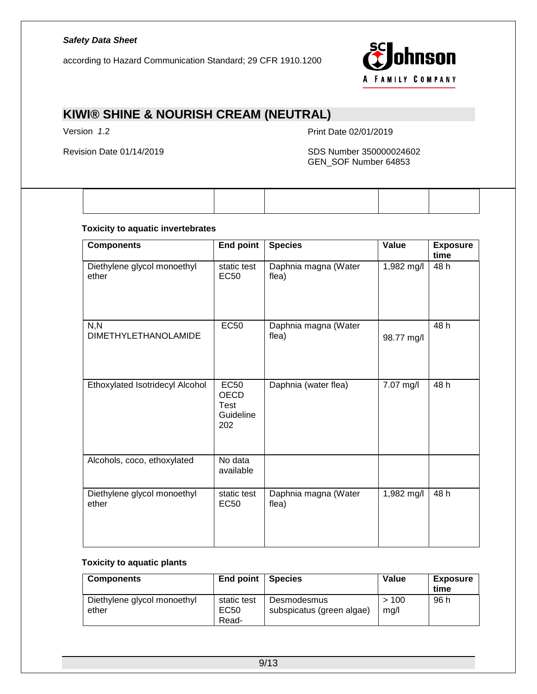according to Hazard Communication Standard; 29 CFR 1910.1200



# **KIWI® SHINE & NOURISH CREAM (NEUTRAL)**

Version *1*.2 Print Date 02/01/2019

### Revision Date 01/14/2019 SDS Number 350000024602 GEN\_SOF Number 64853

### **Toxicity to aquatic invertebrates**

| <b>Components</b>                    | <b>End point</b>                                       | <b>Species</b>                | Value      | <b>Exposure</b><br>time |
|--------------------------------------|--------------------------------------------------------|-------------------------------|------------|-------------------------|
| Diethylene glycol monoethyl<br>ether | static test<br>EC <sub>50</sub>                        | Daphnia magna (Water<br>flea) | 1,982 mg/l | 48 h                    |
| N, N<br><b>DIMETHYLETHANOLAMIDE</b>  | <b>EC50</b>                                            | Daphnia magna (Water<br>flea) | 98.77 mg/l | 48 h                    |
| Ethoxylated Isotridecyl Alcohol      | <b>EC50</b><br><b>OECD</b><br>Test<br>Guideline<br>202 | Daphnia (water flea)          | 7.07 mg/l  | 48 h                    |
| Alcohols, coco, ethoxylated          | No data<br>available                                   |                               |            |                         |
| Diethylene glycol monoethyl<br>ether | static test<br><b>EC50</b>                             | Daphnia magna (Water<br>flea) | 1,982 mg/l | 48 h                    |

### **Toxicity to aquatic plants**

| <b>Components</b>           | End point     | <b>Species</b>            | Value | <b>Exposure</b><br>time |
|-----------------------------|---------------|---------------------------|-------|-------------------------|
| Diethylene glycol monoethyl | static test   | Desmodesmus               | >100  | 96 h                    |
| ether                       | EC50<br>Read- | subspicatus (green algae) | mq/l  |                         |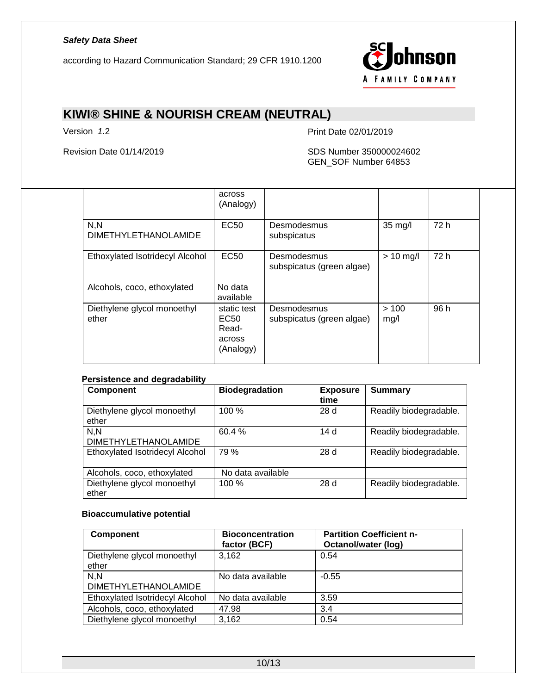according to Hazard Communication Standard; 29 CFR 1910.1200



# **KIWI® SHINE & NOURISH CREAM (NEUTRAL)**

Version *1*.2 Print Date 02/01/2019

### Revision Date 01/14/2019 SDS Number 350000024602 GEN\_SOF Number 64853

|                                      | across<br>(Analogy)                                 |                                          |              |      |
|--------------------------------------|-----------------------------------------------------|------------------------------------------|--------------|------|
| N, N<br><b>DIMETHYLETHANOLAMIDE</b>  | <b>EC50</b>                                         | Desmodesmus<br>subspicatus               | 35 mg/l      | 72 h |
| Ethoxylated Isotridecyl Alcohol      | EC <sub>50</sub>                                    | Desmodesmus<br>subspicatus (green algae) | $> 10$ mg/l  | 72 h |
| Alcohols, coco, ethoxylated          | No data<br>available                                |                                          |              |      |
| Diethylene glycol monoethyl<br>ether | static test<br>EC50<br>Read-<br>across<br>(Analogy) | Desmodesmus<br>subspicatus (green algae) | >100<br>mg/l | 96 h |

#### **Persistence and degradability**

| <b>Component</b>                     | <b>Biodegradation</b> | <b>Exposure</b><br>time | Summary                |
|--------------------------------------|-----------------------|-------------------------|------------------------|
| Diethylene glycol monoethyl<br>ether | 100%                  | 28 d                    | Readily biodegradable. |
| N.N<br><b>DIMETHYLETHANOLAMIDE</b>   | 60.4%                 | 14 d                    | Readily biodegradable. |
| Ethoxylated Isotridecyl Alcohol      | 79 %                  | 28d                     | Readily biodegradable. |
| Alcohols, coco, ethoxylated          | No data available     |                         |                        |
| Diethylene glycol monoethyl<br>ether | 100 %                 | 28d                     | Readily biodegradable. |

### **Bioaccumulative potential**

| <b>Component</b>                     | <b>Bioconcentration</b><br>factor (BCF) | <b>Partition Coefficient n-</b><br><b>Octanol/water (log)</b> |
|--------------------------------------|-----------------------------------------|---------------------------------------------------------------|
| Diethylene glycol monoethyl<br>ether | 3.162                                   | 0.54                                                          |
| N, N<br><b>DIMETHYLETHANOLAMIDE</b>  | No data available                       | $-0.55$                                                       |
| Ethoxylated Isotridecyl Alcohol      | No data available                       | 3.59                                                          |
| Alcohols, coco, ethoxylated          | 47.98                                   | 3.4                                                           |
| Diethylene glycol monoethyl          | 3,162                                   | 0.54                                                          |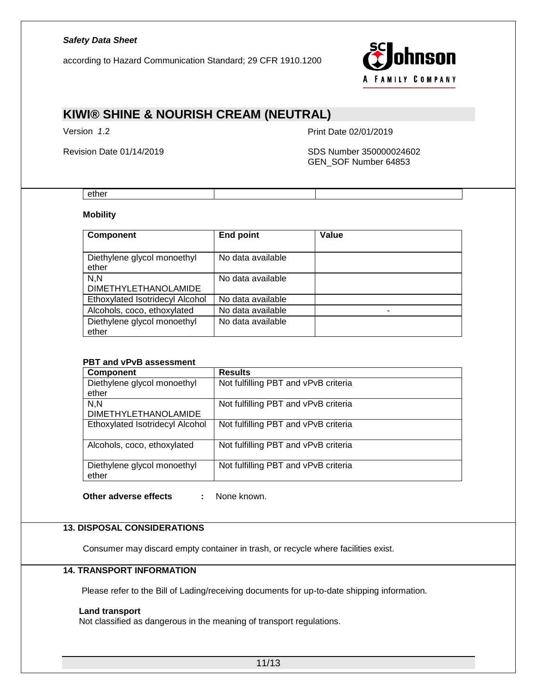according to Hazard Communication Standard; 29 CFR 1910.1200



# **KIWI® SHINE & NOURISH CREAM (NEUTRAL)**

Version *1*.2 Print Date 02/01/2019

Revision Date 01/14/2019 SDS Number 350000024602 GEN\_SOF Number 64853

#### ether

### **Mobility**

| <b>Component</b>                     | <b>End point</b>  | Value |
|--------------------------------------|-------------------|-------|
| Diethylene glycol monoethyl<br>ether | No data available |       |
| N.N<br><b>DIMETHYLETHANOLAMIDE</b>   | No data available |       |
| Ethoxylated Isotridecyl Alcohol      | No data available |       |
| Alcohols, coco, ethoxylated          | No data available | -     |
| Diethylene glycol monoethyl<br>ether | No data available |       |

#### **PBT and vPvB assessment**

| <b>Component</b>                | <b>Results</b>                       |
|---------------------------------|--------------------------------------|
| Diethylene glycol monoethyl     | Not fulfilling PBT and vPvB criteria |
| ether                           |                                      |
| N.N                             | Not fulfilling PBT and vPvB criteria |
| <b>DIMETHYLETHANOLAMIDE</b>     |                                      |
| Ethoxylated Isotridecyl Alcohol | Not fulfilling PBT and vPvB criteria |
|                                 |                                      |
| Alcohols, coco, ethoxylated     | Not fulfilling PBT and vPvB criteria |
|                                 |                                      |
| Diethylene glycol monoethyl     | Not fulfilling PBT and vPvB criteria |
| ether                           |                                      |

**Other adverse effects :** None known.

### **13. DISPOSAL CONSIDERATIONS**

Consumer may discard empty container in trash, or recycle where facilities exist.

## **14. TRANSPORT INFORMATION**

Please refer to the Bill of Lading/receiving documents for up-to-date shipping information.

#### **Land transport**

Not classified as dangerous in the meaning of transport regulations.

11/13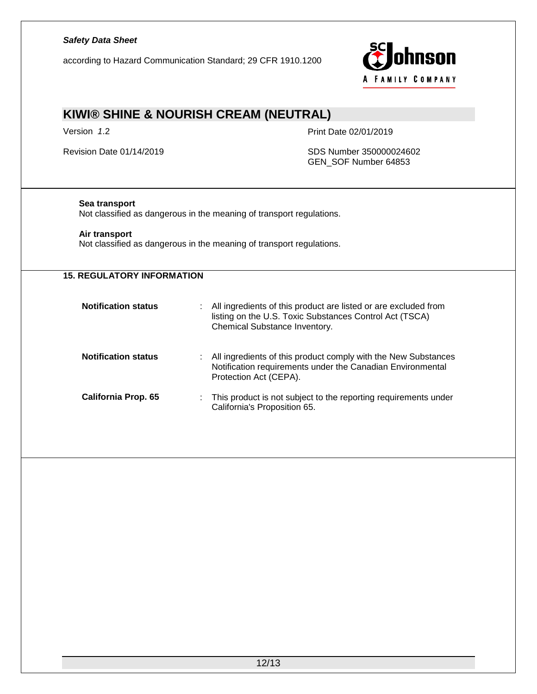according to Hazard Communication Standard; 29 CFR 1910.1200



# **KIWI® SHINE & NOURISH CREAM (NEUTRAL)**

Version *1*.2 Print Date 02/01/2019

Revision Date 01/14/2019 SDS Number 350000024602 GEN\_SOF Number 64853

### **Sea transport**

Not classified as dangerous in the meaning of transport regulations.

### **Air transport**

Not classified as dangerous in the meaning of transport regulations.

| <b>15. REGULATORY INFORMATION</b> |                                                                                                                                                             |
|-----------------------------------|-------------------------------------------------------------------------------------------------------------------------------------------------------------|
| <b>Notification status</b>        | All ingredients of this product are listed or are excluded from<br>listing on the U.S. Toxic Substances Control Act (TSCA)<br>Chemical Substance Inventory. |
| <b>Notification status</b>        | All ingredients of this product comply with the New Substances<br>Notification requirements under the Canadian Environmental<br>Protection Act (CEPA).      |
| California Prop. 65               | This product is not subject to the reporting requirements under<br>California's Proposition 65.                                                             |